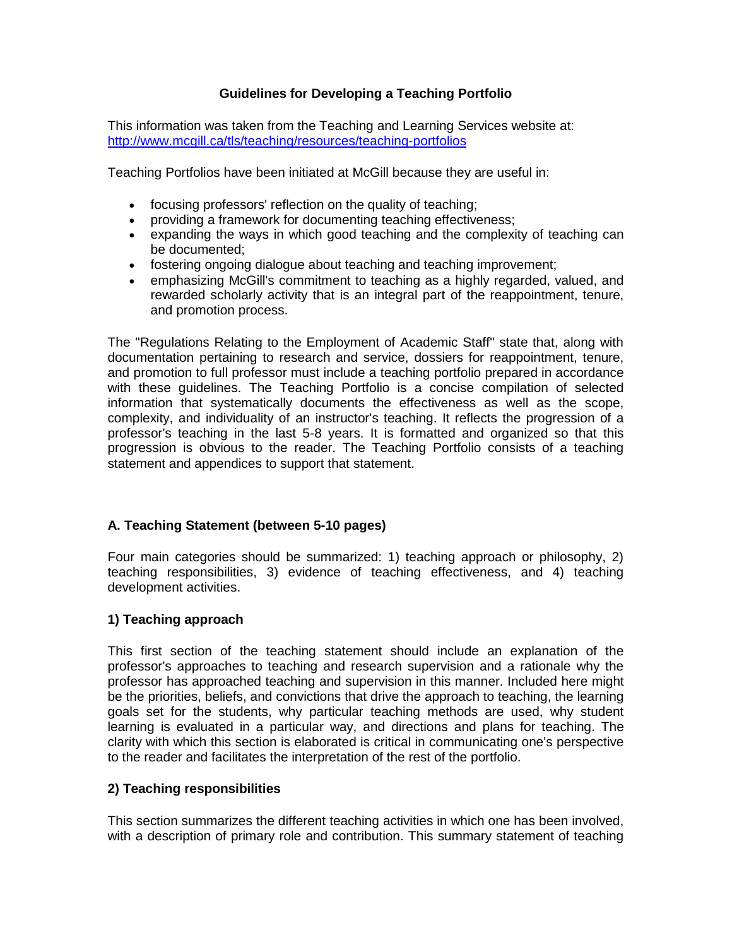# **Guidelines for Developing a Teaching Portfolio**

This information was taken from the Teaching and Learning Services website at: <http://www.mcgill.ca/tls/teaching/resources/teaching-portfolios>

Teaching Portfolios have been initiated at McGill because they are useful in:

- focusing professors' reflection on the quality of teaching;
- providing a framework for documenting teaching effectiveness;
- expanding the ways in which good teaching and the complexity of teaching can be documented;
- fostering ongoing dialogue about teaching and teaching improvement;
- emphasizing McGill's commitment to teaching as a highly regarded, valued, and rewarded scholarly activity that is an integral part of the reappointment, tenure, and promotion process.

The "Regulations Relating to the Employment of Academic Staff" state that, along with documentation pertaining to research and service, dossiers for reappointment, tenure, and promotion to full professor must include a teaching portfolio prepared in accordance with these guidelines. The Teaching Portfolio is a concise compilation of selected information that systematically documents the effectiveness as well as the scope, complexity, and individuality of an instructor's teaching. It reflects the progression of a professor's teaching in the last 5-8 years. It is formatted and organized so that this progression is obvious to the reader. The Teaching Portfolio consists of a teaching statement and appendices to support that statement.

## **A. Teaching Statement (between 5-10 pages)**

Four main categories should be summarized: 1) teaching approach or philosophy, 2) teaching responsibilities, 3) evidence of teaching effectiveness, and 4) teaching development activities.

## **1) Teaching approach**

This first section of the teaching statement should include an explanation of the professor's approaches to teaching and research supervision and a rationale why the professor has approached teaching and supervision in this manner. Included here might be the priorities, beliefs, and convictions that drive the approach to teaching, the learning goals set for the students, why particular teaching methods are used, why student learning is evaluated in a particular way, and directions and plans for teaching. The clarity with which this section is elaborated is critical in communicating one's perspective to the reader and facilitates the interpretation of the rest of the portfolio.

## **2) Teaching responsibilities**

This section summarizes the different teaching activities in which one has been involved, with a description of primary role and contribution. This summary statement of teaching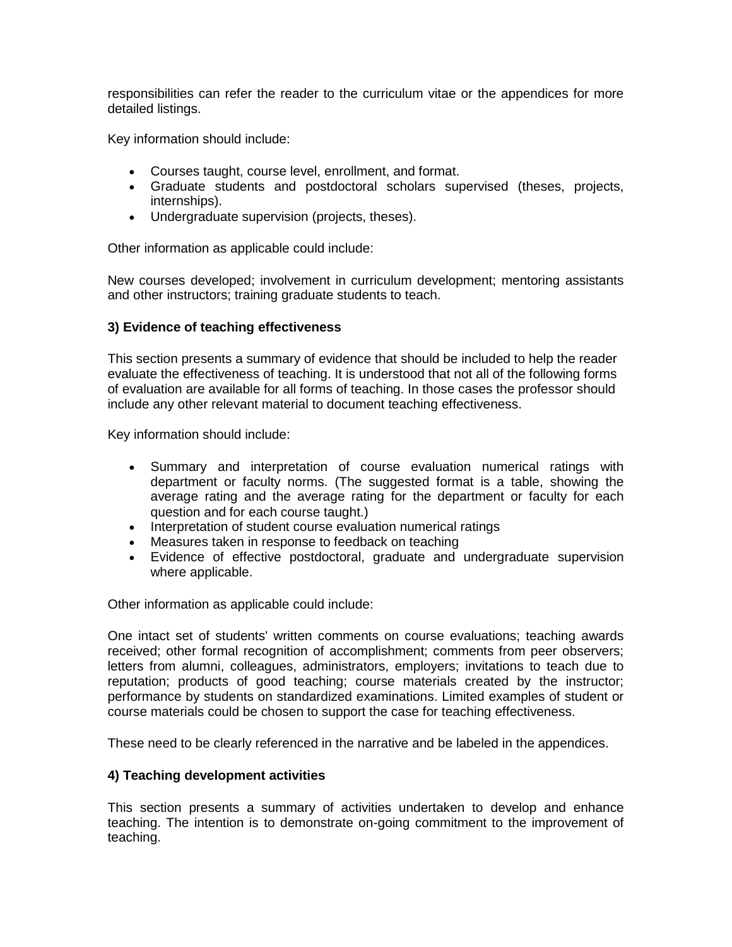responsibilities can refer the reader to the curriculum vitae or the appendices for more detailed listings.

Key information should include:

- Courses taught, course level, enrollment, and format.
- Graduate students and postdoctoral scholars supervised (theses, projects, internships).
- Undergraduate supervision (projects, theses).

Other information as applicable could include:

New courses developed; involvement in curriculum development; mentoring assistants and other instructors; training graduate students to teach.

#### **3) Evidence of teaching effectiveness**

This section presents a summary of evidence that should be included to help the reader evaluate the effectiveness of teaching. It is understood that not all of the following forms of evaluation are available for all forms of teaching. In those cases the professor should include any other relevant material to document teaching effectiveness.

Key information should include:

- Summary and interpretation of course evaluation numerical ratings with department or faculty norms. (The suggested format is a table, showing the average rating and the average rating for the department or faculty for each question and for each course taught.)
- Interpretation of student course evaluation numerical ratings
- Measures taken in response to feedback on teaching
- Evidence of effective postdoctoral, graduate and undergraduate supervision where applicable.

Other information as applicable could include:

One intact set of students' written comments on course evaluations; teaching awards received; other formal recognition of accomplishment; comments from peer observers; letters from alumni, colleagues, administrators, employers; invitations to teach due to reputation; products of good teaching; course materials created by the instructor; performance by students on standardized examinations. Limited examples of student or course materials could be chosen to support the case for teaching effectiveness.

These need to be clearly referenced in the narrative and be labeled in the appendices.

#### **4) Teaching development activities**

This section presents a summary of activities undertaken to develop and enhance teaching. The intention is to demonstrate on-going commitment to the improvement of teaching.